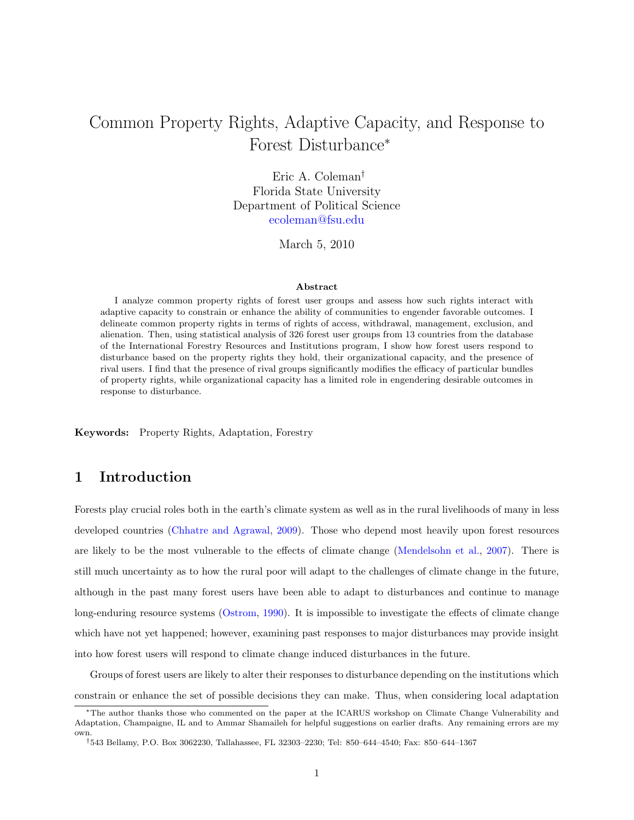## Common Property Rights, Adaptive Capacity, and Response to Forest Disturbance<sup>∗</sup>

Eric A. Coleman† Florida State University Department of Political Science [ecoleman@fsu.edu](mailto:ecoleman@fsu.edu)

March 5, 2010

#### Abstract

I analyze common property rights of forest user groups and assess how such rights interact with adaptive capacity to constrain or enhance the ability of communities to engender favorable outcomes. I delineate common property rights in terms of rights of access, withdrawal, management, exclusion, and alienation. Then, using statistical analysis of 326 forest user groups from 13 countries from the database of the International Forestry Resources and Institutions program, I show how forest users respond to disturbance based on the property rights they hold, their organizational capacity, and the presence of rival users. I find that the presence of rival groups significantly modifies the efficacy of particular bundles of property rights, while organizational capacity has a limited role in engendering desirable outcomes in response to disturbance.

Keywords: Property Rights, Adaptation, Forestry

## 1 Introduction

Forests play crucial roles both in the earth's climate system as well as in the rural livelihoods of many in less developed countries [\(Chhatre and Agrawal,](#page-16-0) [2009\)](#page-16-0). Those who depend most heavily upon forest resources are likely to be the most vulnerable to the effects of climate change [\(Mendelsohn et al.,](#page-17-0) [2007\)](#page-17-0). There is still much uncertainty as to how the rural poor will adapt to the challenges of climate change in the future, although in the past many forest users have been able to adapt to disturbances and continue to manage long-enduring resource systems [\(Ostrom,](#page-17-1) [1990\)](#page-17-1). It is impossible to investigate the effects of climate change which have not yet happened; however, examining past responses to major disturbances may provide insight into how forest users will respond to climate change induced disturbances in the future.

Groups of forest users are likely to alter their responses to disturbance depending on the institutions which constrain or enhance the set of possible decisions they can make. Thus, when considering local adaptation

<sup>∗</sup>The author thanks those who commented on the paper at the ICARUS workshop on Climate Change Vulnerability and Adaptation, Champaigne, IL and to Ammar Shamaileh for helpful suggestions on earlier drafts. Any remaining errors are my own.

<sup>†</sup>543 Bellamy, P.O. Box 3062230, Tallahassee, FL 32303–2230; Tel: 850–644–4540; Fax: 850–644–1367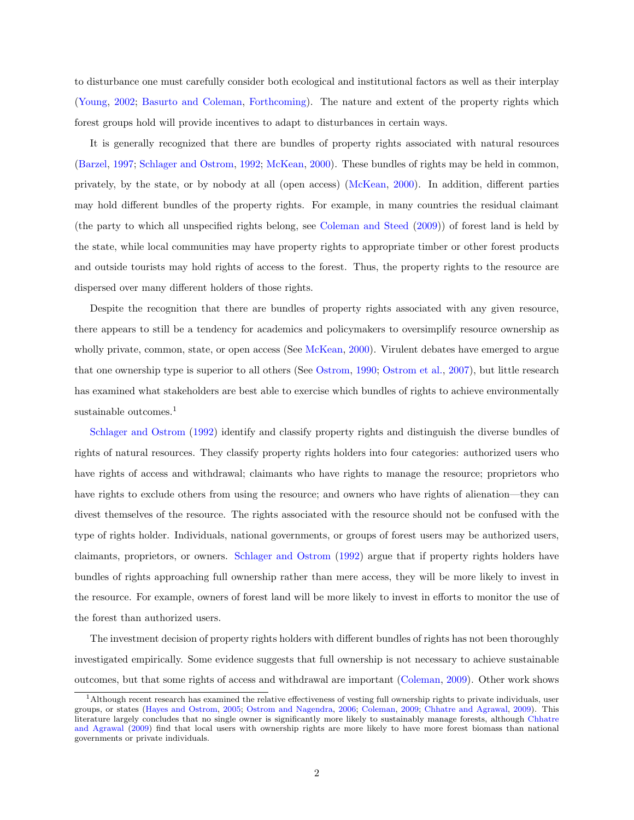to disturbance one must carefully consider both ecological and institutional factors as well as their interplay [\(Young,](#page-17-2) [2002;](#page-17-2) [Basurto and Coleman,](#page-16-1) [Forthcoming\)](#page-16-1). The nature and extent of the property rights which forest groups hold will provide incentives to adapt to disturbances in certain ways.

It is generally recognized that there are bundles of property rights associated with natural resources [\(Barzel,](#page-16-2) [1997;](#page-16-2) [Schlager and Ostrom,](#page-17-3) [1992;](#page-17-3) [McKean,](#page-16-3) [2000\)](#page-16-3). These bundles of rights may be held in common, privately, by the state, or by nobody at all (open access) [\(McKean,](#page-16-3) [2000\)](#page-16-3). In addition, different parties may hold different bundles of the property rights. For example, in many countries the residual claimant (the party to which all unspecified rights belong, see [Coleman and Steed](#page-16-4) [\(2009\)](#page-16-4)) of forest land is held by the state, while local communities may have property rights to appropriate timber or other forest products and outside tourists may hold rights of access to the forest. Thus, the property rights to the resource are dispersed over many different holders of those rights.

Despite the recognition that there are bundles of property rights associated with any given resource, there appears to still be a tendency for academics and policymakers to oversimplify resource ownership as wholly private, common, state, or open access (See [McKean,](#page-16-3) [2000\)](#page-16-3). Virulent debates have emerged to argue that one ownership type is superior to all others (See [Ostrom,](#page-17-1) [1990;](#page-17-1) [Ostrom et al.,](#page-17-4) [2007\)](#page-17-4), but little research has examined what stakeholders are best able to exercise which bundles of rights to achieve environmentally sustainable outcomes.<sup>1</sup>

[Schlager and Ostrom](#page-17-3) [\(1992\)](#page-17-3) identify and classify property rights and distinguish the diverse bundles of rights of natural resources. They classify property rights holders into four categories: authorized users who have rights of access and withdrawal; claimants who have rights to manage the resource; proprietors who have rights to exclude others from using the resource; and owners who have rights of alienation—they can divest themselves of the resource. The rights associated with the resource should not be confused with the type of rights holder. Individuals, national governments, or groups of forest users may be authorized users, claimants, proprietors, or owners. [Schlager and Ostrom](#page-17-3) [\(1992\)](#page-17-3) argue that if property rights holders have bundles of rights approaching full ownership rather than mere access, they will be more likely to invest in the resource. For example, owners of forest land will be more likely to invest in efforts to monitor the use of the forest than authorized users.

The investment decision of property rights holders with different bundles of rights has not been thoroughly investigated empirically. Some evidence suggests that full ownership is not necessary to achieve sustainable outcomes, but that some rights of access and withdrawal are important [\(Coleman,](#page-16-5) [2009\)](#page-16-5). Other work shows

<sup>&</sup>lt;sup>1</sup>Although recent research has examined the relative effectiveness of vesting full ownership rights to private individuals, user groups, or states [\(Hayes and Ostrom,](#page-16-6) [2005;](#page-16-6) [Ostrom and Nagendra,](#page-17-5) [2006;](#page-17-5) [Coleman,](#page-16-5) [2009;](#page-16-5) [Chhatre and Agrawal,](#page-16-0) [2009\)](#page-16-0). This literature largely concludes that no single owner is significantly more likely to sustainably manage forests, although [Chhatre](#page-16-0) [and Agrawal](#page-16-0) [\(2009\)](#page-16-0) find that local users with ownership rights are more likely to have more forest biomass than national governments or private individuals.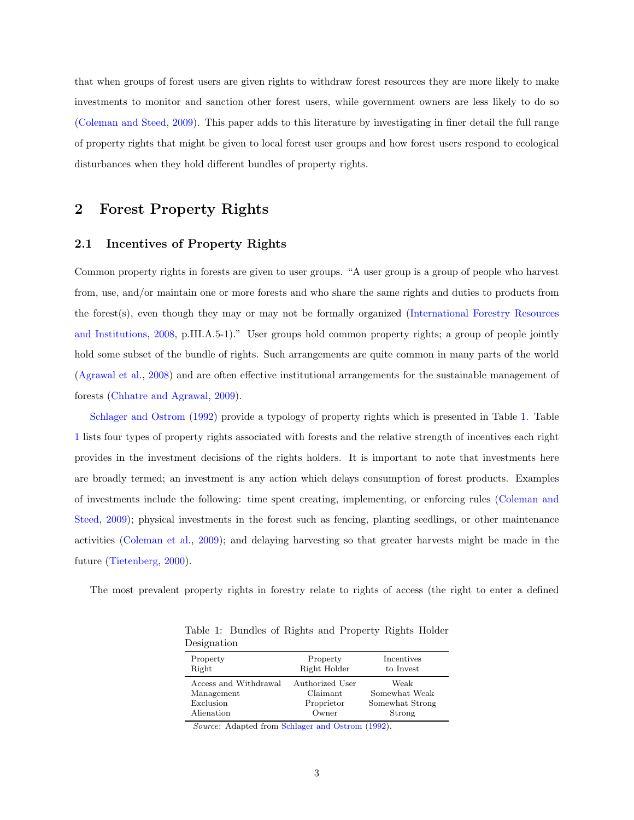that when groups of forest users are given rights to withdraw forest resources they are more likely to make investments to monitor and sanction other forest users, while government owners are less likely to do so [\(Coleman and Steed,](#page-16-4) [2009\)](#page-16-4). This paper adds to this literature by investigating in finer detail the full range of property rights that might be given to local forest user groups and how forest users respond to ecological disturbances when they hold different bundles of property rights.

## 2 Forest Property Rights

### 2.1 Incentives of Property Rights

Common property rights in forests are given to user groups. "A user group is a group of people who harvest from, use, and/or maintain one or more forests and who share the same rights and duties to products from the forest(s), even though they may or may not be formally organized [\(International Forestry Resources](#page-16-7) [and Institutions,](#page-16-7) [2008,](#page-16-7) p.III.A.5-1)." User groups hold common property rights; a group of people jointly hold some subset of the bundle of rights. Such arrangements are quite common in many parts of the world [\(Agrawal et al.,](#page-15-0) [2008\)](#page-15-0) and are often effective institutional arrangements for the sustainable management of forests [\(Chhatre and Agrawal,](#page-16-0) [2009\)](#page-16-0).

[Schlager and Ostrom](#page-17-3) [\(1992\)](#page-17-3) provide a typology of property rights which is presented in Table [1.](#page-2-0) Table [1](#page-2-0) lists four types of property rights associated with forests and the relative strength of incentives each right provides in the investment decisions of the rights holders. It is important to note that investments here are broadly termed; an investment is any action which delays consumption of forest products. Examples of investments include the following: time spent creating, implementing, or enforcing rules [\(Coleman and](#page-16-4) [Steed,](#page-16-4) [2009\)](#page-16-4); physical investments in the forest such as fencing, planting seedlings, or other maintenance activities [\(Coleman et al.,](#page-16-8) [2009\)](#page-16-8); and delaying harvesting so that greater harvests might be made in the future [\(Tietenberg,](#page-17-6) [2000\)](#page-17-6).

The most prevalent property rights in forestry relate to rights of access (the right to enter a defined

| рсықпайын             |                 |                 |
|-----------------------|-----------------|-----------------|
| Property              | Property        | Incentives      |
| Right                 | Right Holder    | to Invest       |
| Access and Withdrawal | Authorized User | Weak            |
| Management            | Claimant        | Somewhat Weak   |
| Exclusion             | Proprietor      | Somewhat Strong |
| Alienation            | Owner           | Strong          |

<span id="page-2-0"></span>Table 1: Bundles of Rights and Property Rights Holder Designation

Source: Adapted from [Schlager and Ostrom](#page-17-3) [\(1992\)](#page-17-3).

3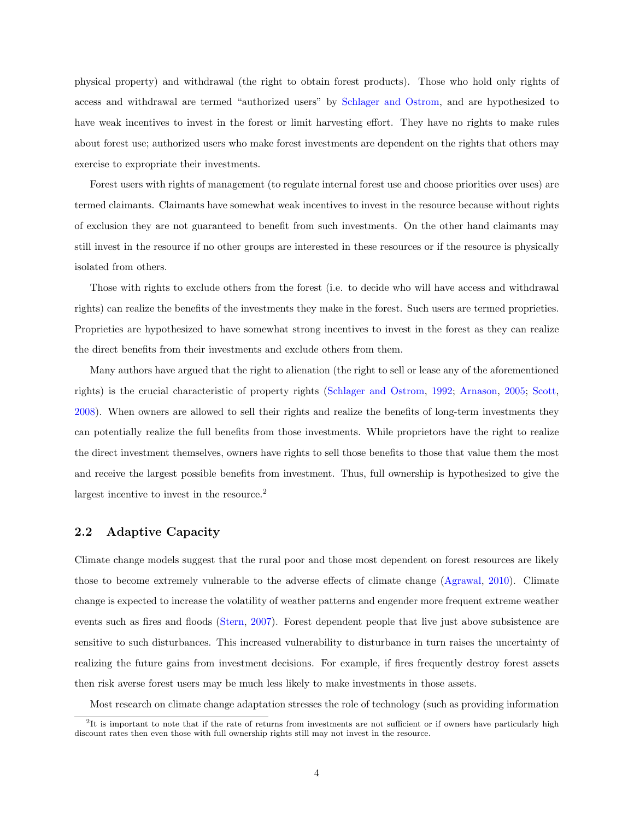physical property) and withdrawal (the right to obtain forest products). Those who hold only rights of access and withdrawal are termed "authorized users" by [Schlager and Ostrom,](#page-17-3) and are hypothesized to have weak incentives to invest in the forest or limit harvesting effort. They have no rights to make rules about forest use; authorized users who make forest investments are dependent on the rights that others may exercise to expropriate their investments.

Forest users with rights of management (to regulate internal forest use and choose priorities over uses) are termed claimants. Claimants have somewhat weak incentives to invest in the resource because without rights of exclusion they are not guaranteed to benefit from such investments. On the other hand claimants may still invest in the resource if no other groups are interested in these resources or if the resource is physically isolated from others.

Those with rights to exclude others from the forest (i.e. to decide who will have access and withdrawal rights) can realize the benefits of the investments they make in the forest. Such users are termed proprieties. Proprieties are hypothesized to have somewhat strong incentives to invest in the forest as they can realize the direct benefits from their investments and exclude others from them.

Many authors have argued that the right to alienation (the right to sell or lease any of the aforementioned rights) is the crucial characteristic of property rights [\(Schlager and Ostrom,](#page-17-3) [1992;](#page-17-3) [Arnason,](#page-16-9) [2005;](#page-16-9) [Scott,](#page-17-7) [2008\)](#page-17-7). When owners are allowed to sell their rights and realize the benefits of long-term investments they can potentially realize the full benefits from those investments. While proprietors have the right to realize the direct investment themselves, owners have rights to sell those benefits to those that value them the most and receive the largest possible benefits from investment. Thus, full ownership is hypothesized to give the largest incentive to invest in the resource.<sup>2</sup>

#### 2.2 Adaptive Capacity

Climate change models suggest that the rural poor and those most dependent on forest resources are likely those to become extremely vulnerable to the adverse effects of climate change [\(Agrawal,](#page-15-1) [2010\)](#page-15-1). Climate change is expected to increase the volatility of weather patterns and engender more frequent extreme weather events such as fires and floods [\(Stern,](#page-17-8) [2007\)](#page-17-8). Forest dependent people that live just above subsistence are sensitive to such disturbances. This increased vulnerability to disturbance in turn raises the uncertainty of realizing the future gains from investment decisions. For example, if fires frequently destroy forest assets then risk averse forest users may be much less likely to make investments in those assets.

Most research on climate change adaptation stresses the role of technology (such as providing information

 ${}^{2}$ It is important to note that if the rate of returns from investments are not sufficient or if owners have particularly high discount rates then even those with full ownership rights still may not invest in the resource.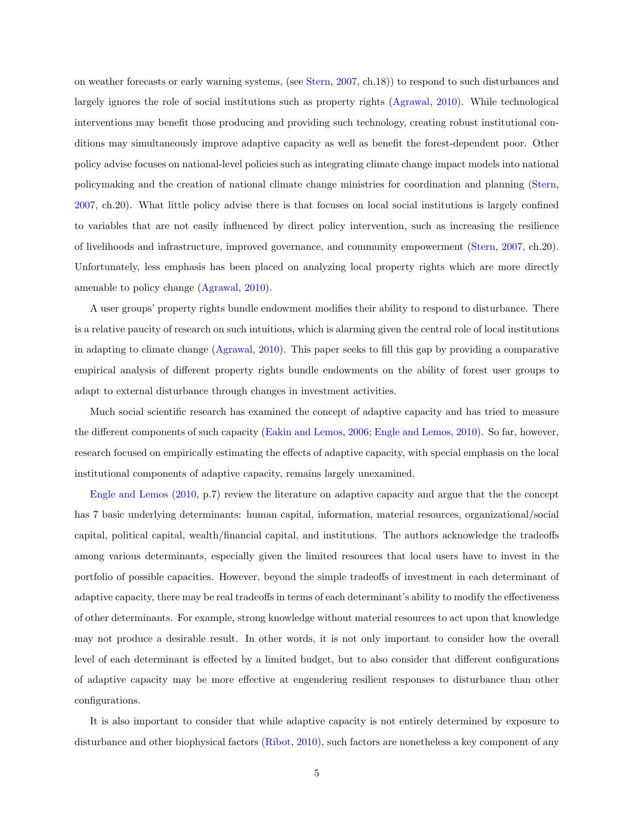on weather forecasts or early warning systems, (see [Stern,](#page-17-8) [2007,](#page-17-8) ch.18)) to respond to such disturbances and largely ignores the role of social institutions such as property rights [\(Agrawal,](#page-15-1) [2010\)](#page-15-1). While technological interventions may benefit those producing and providing such technology, creating robust institutional conditions may simultaneously improve adaptive capacity as well as benefit the forest-dependent poor. Other policy advise focuses on national-level policies such as integrating climate change impact models into national policymaking and the creation of national climate change ministries for coordination and planning [\(Stern,](#page-17-8) [2007,](#page-17-8) ch.20). What little policy advise there is that focuses on local social institutions is largely confined to variables that are not easily influenced by direct policy intervention, such as increasing the resilience of livelihoods and infrastructure, improved governance, and community empowerment [\(Stern,](#page-17-8) [2007,](#page-17-8) ch.20). Unfortunately, less emphasis has been placed on analyzing local property rights which are more directly amenable to policy change [\(Agrawal,](#page-15-1) [2010\)](#page-15-1).

A user groups' property rights bundle endowment modifies their ability to respond to disturbance. There is a relative paucity of research on such intuitions, which is alarming given the central role of local institutions in adapting to climate change [\(Agrawal,](#page-15-1) [2010\)](#page-15-1). This paper seeks to fill this gap by providing a comparative empirical analysis of different property rights bundle endowments on the ability of forest user groups to adapt to external disturbance through changes in investment activities.

Much social scientific research has examined the concept of adaptive capacity and has tried to measure the different components of such capacity [\(Eakin and Lemos,](#page-16-10) [2006;](#page-16-10) [Engle and Lemos,](#page-16-11) [2010\)](#page-16-11). So far, however, research focused on empirically estimating the effects of adaptive capacity, with special emphasis on the local institutional components of adaptive capacity, remains largely unexamined.

[Engle and Lemos](#page-16-11) [\(2010,](#page-16-11) p.7) review the literature on adaptive capacity and argue that the the concept has 7 basic underlying determinants: human capital, information, material resources, organizational/social capital, political capital, wealth/financial capital, and institutions. The authors acknowledge the tradeoffs among various determinants, especially given the limited resources that local users have to invest in the portfolio of possible capacities. However, beyond the simple tradeoffs of investment in each determinant of adaptive capacity, there may be real tradeoffs in terms of each determinant's ability to modify the effectiveness of other determinants. For example, strong knowledge without material resources to act upon that knowledge may not produce a desirable result. In other words, it is not only important to consider how the overall level of each determinant is effected by a limited budget, but to also consider that different configurations of adaptive capacity may be more effective at engendering resilient responses to disturbance than other configurations.

It is also important to consider that while adaptive capacity is not entirely determined by exposure to disturbance and other biophysical factors [\(Ribot,](#page-17-9) [2010\)](#page-17-9), such factors are nonetheless a key component of any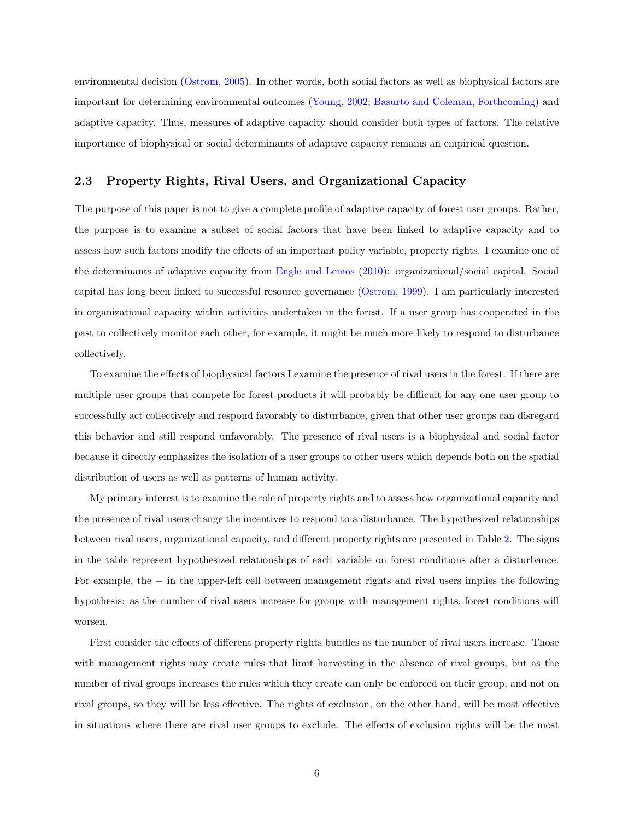environmental decision [\(Ostrom,](#page-17-10) [2005\)](#page-17-10). In other words, both social factors as well as biophysical factors are important for determining environmental outcomes [\(Young,](#page-17-2) [2002;](#page-17-2) [Basurto and Coleman,](#page-16-1) [Forthcoming\)](#page-16-1) and adaptive capacity. Thus, measures of adaptive capacity should consider both types of factors. The relative importance of biophysical or social determinants of adaptive capacity remains an empirical question.

#### 2.3 Property Rights, Rival Users, and Organizational Capacity

The purpose of this paper is not to give a complete profile of adaptive capacity of forest user groups. Rather, the purpose is to examine a subset of social factors that have been linked to adaptive capacity and to assess how such factors modify the effects of an important policy variable, property rights. I examine one of the determinants of adaptive capacity from [Engle and Lemos](#page-16-11) [\(2010\)](#page-16-11): organizational/social capital. Social capital has long been linked to successful resource governance [\(Ostrom,](#page-17-11) [1999\)](#page-17-11). I am particularly interested in organizational capacity within activities undertaken in the forest. If a user group has cooperated in the past to collectively monitor each other, for example, it might be much more likely to respond to disturbance collectively.

To examine the effects of biophysical factors I examine the presence of rival users in the forest. If there are multiple user groups that compete for forest products it will probably be difficult for any one user group to successfully act collectively and respond favorably to disturbance, given that other user groups can disregard this behavior and still respond unfavorably. The presence of rival users is a biophysical and social factor because it directly emphasizes the isolation of a user groups to other users which depends both on the spatial distribution of users as well as patterns of human activity.

My primary interest is to examine the role of property rights and to assess how organizational capacity and the presence of rival users change the incentives to respond to a disturbance. The hypothesized relationships between rival users, organizational capacity, and different property rights are presented in Table [2.](#page-6-0) The signs in the table represent hypothesized relationships of each variable on forest conditions after a disturbance. For example, the − in the upper-left cell between management rights and rival users implies the following hypothesis: as the number of rival users increase for groups with management rights, forest conditions will worsen.

First consider the effects of different property rights bundles as the number of rival users increase. Those with management rights may create rules that limit harvesting in the absence of rival groups, but as the number of rival groups increases the rules which they create can only be enforced on their group, and not on rival groups, so they will be less effective. The rights of exclusion, on the other hand, will be most effective in situations where there are rival user groups to exclude. The effects of exclusion rights will be the most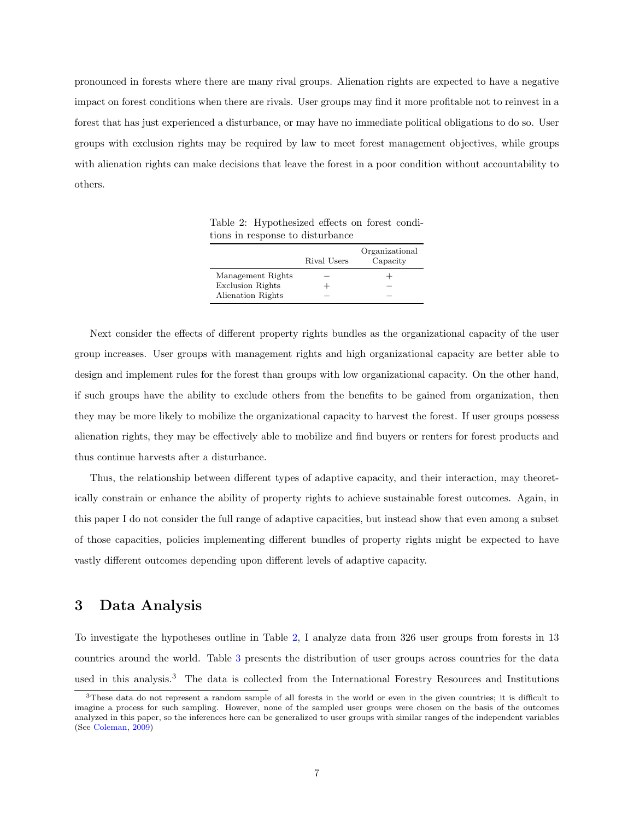pronounced in forests where there are many rival groups. Alienation rights are expected to have a negative impact on forest conditions when there are rivals. User groups may find it more profitable not to reinvest in a forest that has just experienced a disturbance, or may have no immediate political obligations to do so. User groups with exclusion rights may be required by law to meet forest management objectives, while groups with alienation rights can make decisions that leave the forest in a poor condition without accountability to others.

<span id="page-6-0"></span>Table 2: Hypothesized effects on forest conditions in response to disturbance

|                         | Rival Users | Organizational<br>Capacity |
|-------------------------|-------------|----------------------------|
| Management Rights       |             |                            |
| <b>Exclusion Rights</b> |             |                            |
| Alienation Rights       |             |                            |

Next consider the effects of different property rights bundles as the organizational capacity of the user group increases. User groups with management rights and high organizational capacity are better able to design and implement rules for the forest than groups with low organizational capacity. On the other hand, if such groups have the ability to exclude others from the benefits to be gained from organization, then they may be more likely to mobilize the organizational capacity to harvest the forest. If user groups possess alienation rights, they may be effectively able to mobilize and find buyers or renters for forest products and thus continue harvests after a disturbance.

Thus, the relationship between different types of adaptive capacity, and their interaction, may theoretically constrain or enhance the ability of property rights to achieve sustainable forest outcomes. Again, in this paper I do not consider the full range of adaptive capacities, but instead show that even among a subset of those capacities, policies implementing different bundles of property rights might be expected to have vastly different outcomes depending upon different levels of adaptive capacity.

## 3 Data Analysis

To investigate the hypotheses outline in Table [2,](#page-6-0) I analyze data from 326 user groups from forests in 13 countries around the world. Table [3](#page-7-0) presents the distribution of user groups across countries for the data used in this analysis.<sup>3</sup> The data is collected from the International Forestry Resources and Institutions

<sup>3</sup>These data do not represent a random sample of all forests in the world or even in the given countries; it is difficult to imagine a process for such sampling. However, none of the sampled user groups were chosen on the basis of the outcomes analyzed in this paper, so the inferences here can be generalized to user groups with similar ranges of the independent variables (See [Coleman,](#page-16-5) [2009\)](#page-16-5)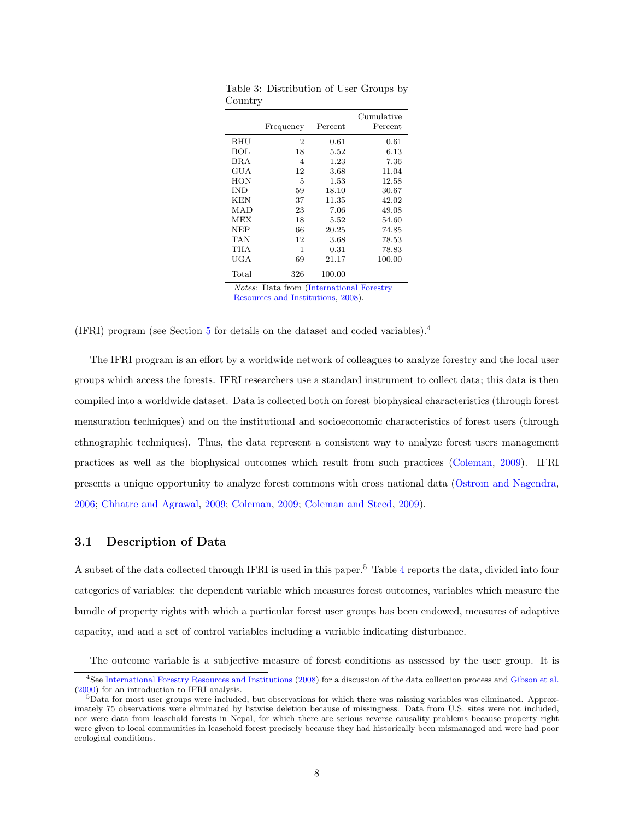|            | Frequency      | Percent  | Cumulative<br>Percent |
|------------|----------------|----------|-----------------------|
| <b>BHU</b> | $\overline{2}$ | 0.61     | 0.61                  |
| BOL        | 18             | 5.52     | 6.13                  |
| <b>BRA</b> | 4              | 1.23     | 7.36                  |
| GUA        | 12             | 3.68     | 11.04                 |
| HON        | 5              | 1.53     | 12.58                 |
| <b>IND</b> | 59             | 18.10    | 30.67                 |
| KEN        | 37             | 11.35    | 42.02                 |
| MAD        | 23             | 7.06     | 49.08                 |
| MEX        | 18             | $5.52\,$ | 54.60                 |
| NEP        | 66             | 20.25    | 74.85                 |
| TAN        | 12             | 3.68     | 78.53                 |
| THA        | 1              | 0.31     | 78.83                 |
| UGA        | 69             | 21.17    | 100.00                |
| Total      | 326            | 100.00   |                       |

<span id="page-7-0"></span>Table 3: Distribution of User Groups by Country

Notes: Data from [\(International Forestry](#page-16-7) [Resources and Institutions,](#page-16-7) [2008\)](#page-16-7).

(IFRI) program (see Section [5](#page-15-2) for details on the dataset and coded variables).<sup>4</sup>

The IFRI program is an effort by a worldwide network of colleagues to analyze forestry and the local user groups which access the forests. IFRI researchers use a standard instrument to collect data; this data is then compiled into a worldwide dataset. Data is collected both on forest biophysical characteristics (through forest mensuration techniques) and on the institutional and socioeconomic characteristics of forest users (through ethnographic techniques). Thus, the data represent a consistent way to analyze forest users management practices as well as the biophysical outcomes which result from such practices [\(Coleman,](#page-16-5) [2009\)](#page-16-5). IFRI presents a unique opportunity to analyze forest commons with cross national data [\(Ostrom and Nagendra,](#page-17-5) [2006;](#page-17-5) [Chhatre and Agrawal,](#page-16-0) [2009;](#page-16-0) [Coleman,](#page-16-5) [2009;](#page-16-5) [Coleman and Steed,](#page-16-4) [2009\)](#page-16-4).

#### 3.1 Description of Data

A subset of the data collected through IFRI is used in this paper.<sup>5</sup> Table [4](#page-8-0) reports the data, divided into four categories of variables: the dependent variable which measures forest outcomes, variables which measure the bundle of property rights with which a particular forest user groups has been endowed, measures of adaptive capacity, and and a set of control variables including a variable indicating disturbance.

The outcome variable is a subjective measure of forest conditions as assessed by the user group. It is

<sup>4</sup>See [International Forestry Resources and Institutions](#page-16-7) [\(2008\)](#page-16-7) for a discussion of the data collection process and [Gibson et al.](#page-16-12) [\(2000\)](#page-16-12) for an introduction to IFRI analysis.

<sup>5</sup>Data for most user groups were included, but observations for which there was missing variables was eliminated. Approximately 75 observations were eliminated by listwise deletion because of missingness. Data from U.S. sites were not included, nor were data from leasehold forests in Nepal, for which there are serious reverse causality problems because property right were given to local communities in leasehold forest precisely because they had historically been mismanaged and were had poor ecological conditions.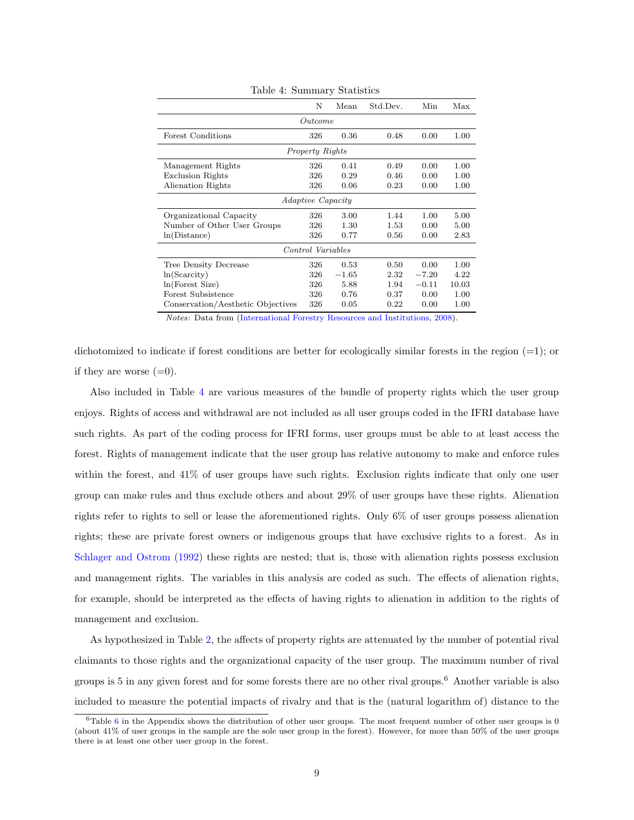|                                                                                          | Ν               | Mean       | Std.Dev. | Min     | Max      |  |
|------------------------------------------------------------------------------------------|-----------------|------------|----------|---------|----------|--|
| Outcome                                                                                  |                 |            |          |         |          |  |
| Forest Conditions                                                                        | 326             | 0.36       | 0.48     | 0.00    | 1.00     |  |
|                                                                                          | Property Rights |            |          |         |          |  |
| Management Rights                                                                        | 326             | 0.41       | 0.49     | 0.00    | $1.00\,$ |  |
| <b>Exclusion Rights</b>                                                                  | 326             | 0.29       | 0.46     | 0.00    | 1.00     |  |
| Alienation Rights                                                                        | 326             | 0.06       | 0.23     | 0.00    | $1.00\,$ |  |
| <i>Adaptive Capacity</i>                                                                 |                 |            |          |         |          |  |
| Organizational Capacity                                                                  | 326             | 3.00       | 1.44     | 1.00    | 5.00     |  |
| Number of Other User Groups                                                              | 326             | 1.30       | 1.53     | 0.00    | 5.00     |  |
| ln(Distance)                                                                             | 326             | 0.77       | 0.56     | 0.00    | 2.83     |  |
| Control Variables                                                                        |                 |            |          |         |          |  |
| Tree Density Decrease                                                                    | 326             | 0.53       | 0.50     | 0.00    | 1.00     |  |
| $ln(S\ncarcity)$                                                                         | 326             | $^{-1.65}$ | $2.32\,$ | $-7.20$ | 4.22     |  |
| ln(Forest Size)                                                                          | 326             | 5.88       | 1.94     | $-0.11$ | 10.03    |  |
| Forest Subsistence                                                                       | 326             | 0.76       | 0.37     | 0.00    | 1.00     |  |
| Conservation/Aesthetic Objectives<br>$\sim$ $\sim$ $\sim$ $\sim$ $\sim$ $\sim$<br>$\sim$ | 326             | 0.05       | 0.22     | 0.00    | 1.00     |  |

<span id="page-8-0"></span>Table 4: Summary Statistics

Notes: Data from [\(International Forestry Resources and Institutions,](#page-16-7) [2008\)](#page-16-7).

dichotomized to indicate if forest conditions are better for ecologically similar forests in the region  $(=1)$ ; or if they are worse  $(=0)$ .

Also included in Table [4](#page-8-0) are various measures of the bundle of property rights which the user group enjoys. Rights of access and withdrawal are not included as all user groups coded in the IFRI database have such rights. As part of the coding process for IFRI forms, user groups must be able to at least access the forest. Rights of management indicate that the user group has relative autonomy to make and enforce rules within the forest, and  $41\%$  of user groups have such rights. Exclusion rights indicate that only one user group can make rules and thus exclude others and about 29% of user groups have these rights. Alienation rights refer to rights to sell or lease the aforementioned rights. Only 6% of user groups possess alienation rights; these are private forest owners or indigenous groups that have exclusive rights to a forest. As in [Schlager and Ostrom](#page-17-3) [\(1992\)](#page-17-3) these rights are nested; that is, those with alienation rights possess exclusion and management rights. The variables in this analysis are coded as such. The effects of alienation rights, for example, should be interpreted as the effects of having rights to alienation in addition to the rights of management and exclusion.

As hypothesized in Table [2,](#page-6-0) the affects of property rights are attenuated by the number of potential rival claimants to those rights and the organizational capacity of the user group. The maximum number of rival groups is 5 in any given forest and for some forests there are no other rival groups.<sup>6</sup> Another variable is also included to measure the potential impacts of rivalry and that is the (natural logarithm of) distance to the

 $6$ Table 6 in the Appendix shows the distribution of other user groups. The most frequent number of other user groups is 0 (about 41% of user groups in the sample are the sole user group in the forest). However, for more than 50% of the user groups there is at least one other user group in the forest.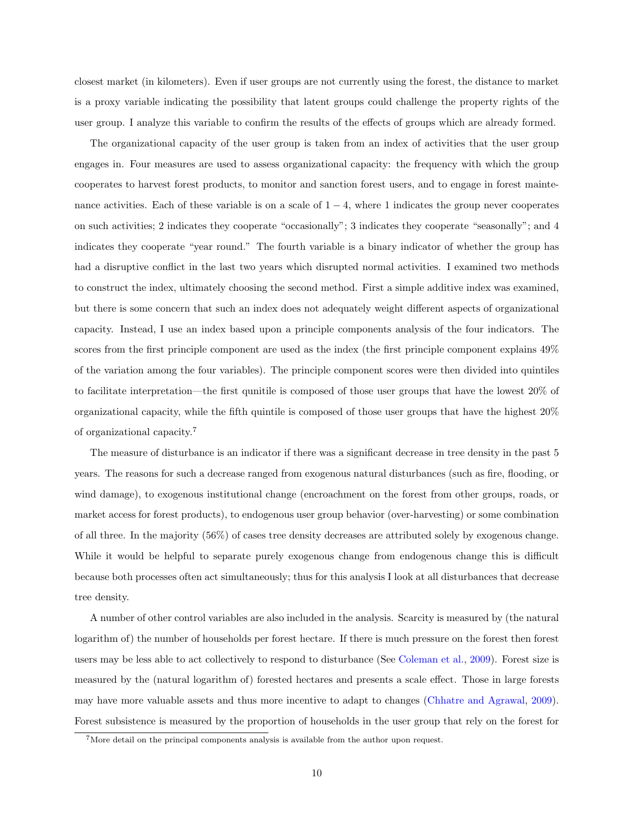closest market (in kilometers). Even if user groups are not currently using the forest, the distance to market is a proxy variable indicating the possibility that latent groups could challenge the property rights of the user group. I analyze this variable to confirm the results of the effects of groups which are already formed.

The organizational capacity of the user group is taken from an index of activities that the user group engages in. Four measures are used to assess organizational capacity: the frequency with which the group cooperates to harvest forest products, to monitor and sanction forest users, and to engage in forest maintenance activities. Each of these variable is on a scale of  $1 - 4$ , where 1 indicates the group never cooperates on such activities; 2 indicates they cooperate "occasionally"; 3 indicates they cooperate "seasonally"; and 4 indicates they cooperate "year round." The fourth variable is a binary indicator of whether the group has had a disruptive conflict in the last two years which disrupted normal activities. I examined two methods to construct the index, ultimately choosing the second method. First a simple additive index was examined, but there is some concern that such an index does not adequately weight different aspects of organizational capacity. Instead, I use an index based upon a principle components analysis of the four indicators. The scores from the first principle component are used as the index (the first principle component explains 49% of the variation among the four variables). The principle component scores were then divided into quintiles to facilitate interpretation—the first qunitile is composed of those user groups that have the lowest 20% of organizational capacity, while the fifth quintile is composed of those user groups that have the highest 20% of organizational capacity.<sup>7</sup>

The measure of disturbance is an indicator if there was a significant decrease in tree density in the past 5 years. The reasons for such a decrease ranged from exogenous natural disturbances (such as fire, flooding, or wind damage), to exogenous institutional change (encroachment on the forest from other groups, roads, or market access for forest products), to endogenous user group behavior (over-harvesting) or some combination of all three. In the majority (56%) of cases tree density decreases are attributed solely by exogenous change. While it would be helpful to separate purely exogenous change from endogenous change this is difficult because both processes often act simultaneously; thus for this analysis I look at all disturbances that decrease tree density.

A number of other control variables are also included in the analysis. Scarcity is measured by (the natural logarithm of) the number of households per forest hectare. If there is much pressure on the forest then forest users may be less able to act collectively to respond to disturbance (See [Coleman et al.,](#page-16-8) [2009\)](#page-16-8). Forest size is measured by the (natural logarithm of) forested hectares and presents a scale effect. Those in large forests may have more valuable assets and thus more incentive to adapt to changes [\(Chhatre and Agrawal,](#page-16-0) [2009\)](#page-16-0). Forest subsistence is measured by the proportion of households in the user group that rely on the forest for

<sup>&</sup>lt;sup>7</sup>More detail on the principal components analysis is available from the author upon request.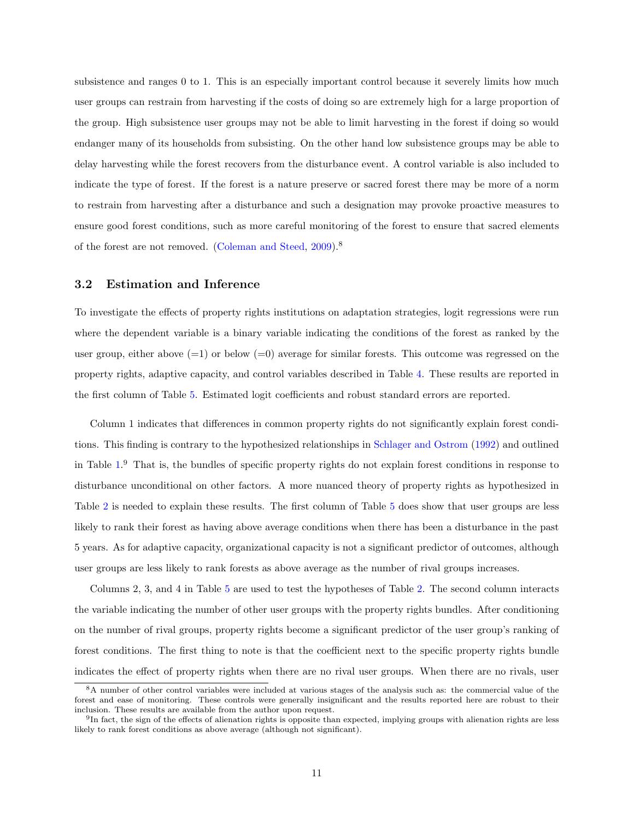subsistence and ranges 0 to 1. This is an especially important control because it severely limits how much user groups can restrain from harvesting if the costs of doing so are extremely high for a large proportion of the group. High subsistence user groups may not be able to limit harvesting in the forest if doing so would endanger many of its households from subsisting. On the other hand low subsistence groups may be able to delay harvesting while the forest recovers from the disturbance event. A control variable is also included to indicate the type of forest. If the forest is a nature preserve or sacred forest there may be more of a norm to restrain from harvesting after a disturbance and such a designation may provoke proactive measures to ensure good forest conditions, such as more careful monitoring of the forest to ensure that sacred elements of the forest are not removed. [\(Coleman and Steed,](#page-16-4) [2009\)](#page-16-4).<sup>8</sup>

#### 3.2 Estimation and Inference

To investigate the effects of property rights institutions on adaptation strategies, logit regressions were run where the dependent variable is a binary variable indicating the conditions of the forest as ranked by the user group, either above  $(=1)$  or below  $(=0)$  average for similar forests. This outcome was regressed on the property rights, adaptive capacity, and control variables described in Table [4.](#page-8-0) These results are reported in the first column of Table [5.](#page-11-0) Estimated logit coefficients and robust standard errors are reported.

Column 1 indicates that differences in common property rights do not significantly explain forest conditions. This finding is contrary to the hypothesized relationships in [Schlager and Ostrom](#page-17-3) [\(1992\)](#page-17-3) and outlined in Table [1.](#page-2-0) <sup>9</sup> That is, the bundles of specific property rights do not explain forest conditions in response to disturbance unconditional on other factors. A more nuanced theory of property rights as hypothesized in Table [2](#page-6-0) is needed to explain these results. The first column of Table [5](#page-11-0) does show that user groups are less likely to rank their forest as having above average conditions when there has been a disturbance in the past 5 years. As for adaptive capacity, organizational capacity is not a significant predictor of outcomes, although user groups are less likely to rank forests as above average as the number of rival groups increases.

Columns 2, 3, and 4 in Table [5](#page-11-0) are used to test the hypotheses of Table [2.](#page-6-0) The second column interacts the variable indicating the number of other user groups with the property rights bundles. After conditioning on the number of rival groups, property rights become a significant predictor of the user group's ranking of forest conditions. The first thing to note is that the coefficient next to the specific property rights bundle indicates the effect of property rights when there are no rival user groups. When there are no rivals, user

<sup>&</sup>lt;sup>8</sup>A number of other control variables were included at various stages of the analysis such as: the commercial value of the forest and ease of monitoring. These controls were generally insignificant and the results reported here are robust to their inclusion. These results are available from the author upon request.

 $^{9}$ In fact, the sign of the effects of alienation rights is opposite than expected, implying groups with alienation rights are less likely to rank forest conditions as above average (although not significant).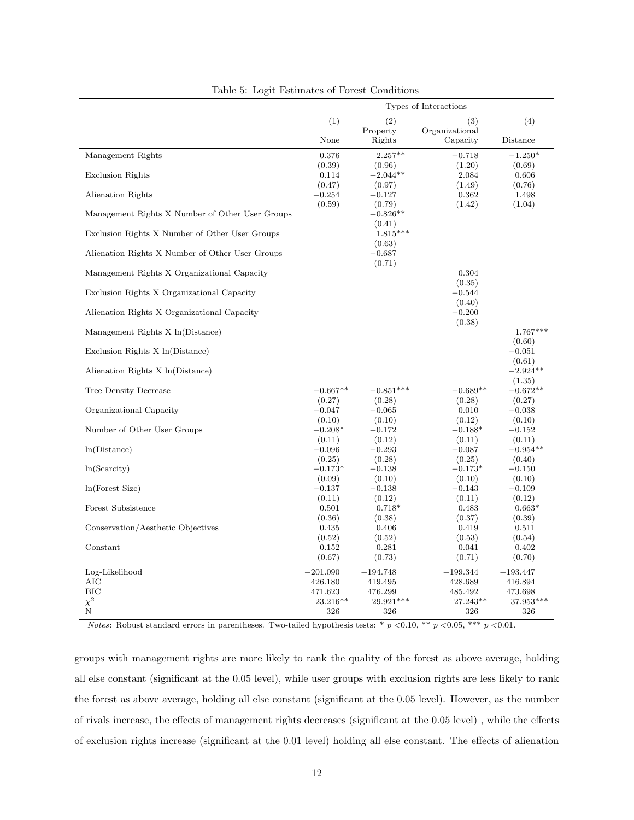|                                                 | Types of Interactions     |                                |                              |                                |
|-------------------------------------------------|---------------------------|--------------------------------|------------------------------|--------------------------------|
|                                                 | (1)                       | (2)<br>Property                | (3)<br>Organizational        | (4)                            |
|                                                 | None                      | Rights                         | Capacity                     | Distance                       |
| Management Rights                               | 0.376                     | $2.257**$                      | $-0.718$                     | $-1.250*$                      |
| <b>Exclusion Rights</b>                         | (0.39)<br>0.114<br>(0.47) | (0.96)<br>$-2.044**$<br>(0.97) | (1.20)<br>2.084<br>(1.49)    | (0.69)<br>0.606<br>(0.76)      |
| Alienation Rights                               | $-0.254$<br>(0.59)        | $-0.127$<br>(0.79)             | 0.362<br>(1.42)              | 1.498<br>(1.04)                |
| Management Rights X Number of Other User Groups |                           | $-0.826**$<br>(0.41)           |                              |                                |
| Exclusion Rights X Number of Other User Groups  |                           | $1.815***$<br>(0.63)           |                              |                                |
| Alienation Rights X Number of Other User Groups |                           | $-0.687$<br>(0.71)             |                              |                                |
| Management Rights X Organizational Capacity     |                           |                                | 0.304                        |                                |
| Exclusion Rights X Organizational Capacity      |                           |                                | (0.35)<br>$-0.544$<br>(0.40) |                                |
| Alienation Rights X Organizational Capacity     |                           |                                | $-0.200$<br>(0.38)           |                                |
| Management Rights X ln(Distance)                |                           |                                |                              | $1.767***$                     |
| Exclusion Rights X ln(Distance)                 |                           |                                |                              | (0.60)<br>$-0.051$             |
| Alienation Rights X ln(Distance)                |                           |                                |                              | (0.61)<br>$-2.924**$           |
| Tree Density Decrease                           | $-0.667**$<br>(0.27)      | $-0.851***$<br>(0.28)          | $-0.689**$<br>(0.28)         | (1.35)<br>$-0.672**$<br>(0.27) |
| Organizational Capacity                         | $-0.047$<br>(0.10)        | $-0.065$<br>(0.10)             | 0.010<br>(0.12)              | $-0.038$<br>(0.10)             |
| Number of Other User Groups                     | $-0.208*$<br>(0.11)       | $-0.172$<br>(0.12)             | $-0.188*$<br>(0.11)          | $-0.152$<br>(0.11)             |
| ln(Distance)                                    | $-0.096$                  | $-0.293$                       | $-0.087$                     | $-0.954**$                     |
| $ln(S\ncarcity)$                                | (0.25)<br>$-0.173*$       | (0.28)<br>$-0.138$             | (0.25)<br>$-0.173*$          | (0.40)<br>$-0.150$             |
|                                                 | (0.09)                    | (0.10)                         | (0.10)                       | (0.10)                         |
| ln(Forest Size)                                 | $-0.137$                  | $-0.138$                       | $-0.143$                     | $-0.109$                       |
| Forest Subsistence                              | (0.11)<br>0.501           | (0.12)<br>$0.718*$             | (0.11)<br>0.483              | (0.12)<br>$0.663*$             |
| Conservation/Aesthetic Objectives               | (0.36)<br>0.435           | (0.38)<br>0.406                | (0.37)<br>0.419              | (0.39)<br>0.511                |
|                                                 | (0.52)                    | (0.52)                         | (0.53)                       | (0.54)                         |
| Constant                                        | 0.152                     | 0.281                          | 0.041                        | 0.402                          |
|                                                 | (0.67)                    | (0.73)                         | (0.71)                       | (0.70)                         |
| Log-Likelihood                                  | $-201.090$                | $-194.748$                     | $-199.344$                   | $-193.447$                     |
| AIC                                             | 426.180                   | 419.495                        | 428.689                      | 416.894                        |
| BIC                                             | 471.623                   | 476.299                        | 485.492                      | 473.698                        |
| $\chi^2$                                        | $23.216**$                | 29.921***                      | $27.243**$                   | 37.953***                      |
| $\mathbf N$                                     | 326                       | 326                            | 326                          | 326                            |

<span id="page-11-0"></span>Table 5: Logit Estimates of Forest Conditions

Notes: Robust standard errors in parentheses. Two-tailed hypothesis tests: \*  $p < 0.10$ , \*\*  $p < 0.05$ , \*\*\*  $p < 0.01$ .

groups with management rights are more likely to rank the quality of the forest as above average, holding all else constant (significant at the 0.05 level), while user groups with exclusion rights are less likely to rank the forest as above average, holding all else constant (significant at the 0.05 level). However, as the number of rivals increase, the effects of management rights decreases (significant at the 0.05 level) , while the effects of exclusion rights increase (significant at the 0.01 level) holding all else constant. The effects of alienation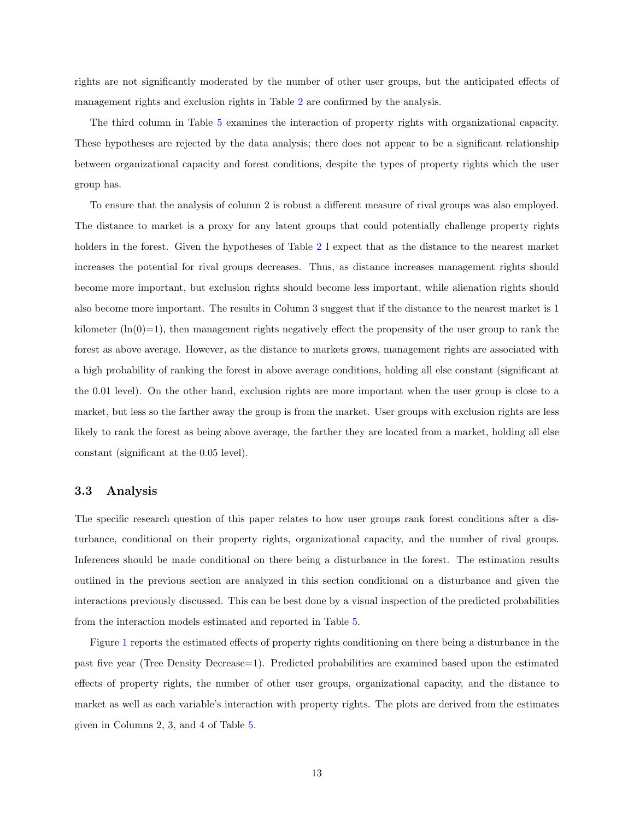rights are not significantly moderated by the number of other user groups, but the anticipated effects of management rights and exclusion rights in Table [2](#page-6-0) are confirmed by the analysis.

The third column in Table [5](#page-11-0) examines the interaction of property rights with organizational capacity. These hypotheses are rejected by the data analysis; there does not appear to be a significant relationship between organizational capacity and forest conditions, despite the types of property rights which the user group has.

To ensure that the analysis of column 2 is robust a different measure of rival groups was also employed. The distance to market is a proxy for any latent groups that could potentially challenge property rights holders in the forest. Given the hypotheses of Table [2](#page-6-0) I expect that as the distance to the nearest market increases the potential for rival groups decreases. Thus, as distance increases management rights should become more important, but exclusion rights should become less important, while alienation rights should also become more important. The results in Column 3 suggest that if the distance to the nearest market is 1 kilometer  $(\ln(0)=1)$ , then management rights negatively effect the propensity of the user group to rank the forest as above average. However, as the distance to markets grows, management rights are associated with a high probability of ranking the forest in above average conditions, holding all else constant (significant at the 0.01 level). On the other hand, exclusion rights are more important when the user group is close to a market, but less so the farther away the group is from the market. User groups with exclusion rights are less likely to rank the forest as being above average, the farther they are located from a market, holding all else constant (significant at the 0.05 level).

#### 3.3 Analysis

The specific research question of this paper relates to how user groups rank forest conditions after a disturbance, conditional on their property rights, organizational capacity, and the number of rival groups. Inferences should be made conditional on there being a disturbance in the forest. The estimation results outlined in the previous section are analyzed in this section conditional on a disturbance and given the interactions previously discussed. This can be best done by a visual inspection of the predicted probabilities from the interaction models estimated and reported in Table [5.](#page-11-0)

Figure [1](#page-13-0) reports the estimated effects of property rights conditioning on there being a disturbance in the past five year (Tree Density Decrease=1). Predicted probabilities are examined based upon the estimated effects of property rights, the number of other user groups, organizational capacity, and the distance to market as well as each variable's interaction with property rights. The plots are derived from the estimates given in Columns 2, 3, and 4 of Table [5.](#page-11-0)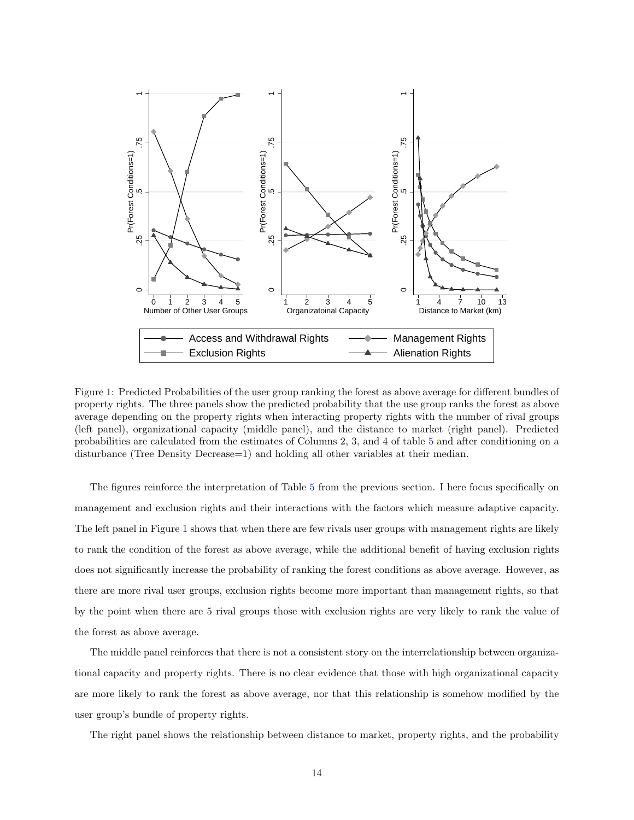

<span id="page-13-0"></span>Figure 1: Predicted Probabilities of the user group ranking the forest as above average for different bundles of property rights. The three panels show the predicted probability that the use group ranks the forest as above average depending on the property rights when interacting property rights with the number of rival groups (left panel), organizational capacity (middle panel), and the distance to market (right panel). Predicted probabilities are calculated from the estimates of Columns 2, 3, and 4 of table [5](#page-11-0) and after conditioning on a disturbance (Tree Density Decrease=1) and holding all other variables at their median.

The figures reinforce the interpretation of Table [5](#page-11-0) from the previous section. I here focus specifically on management and exclusion rights and their interactions with the factors which measure adaptive capacity. The left panel in Figure [1](#page-13-0) shows that when there are few rivals user groups with management rights are likely to rank the condition of the forest as above average, while the additional benefit of having exclusion rights does not significantly increase the probability of ranking the forest conditions as above average. However, as there are more rival user groups, exclusion rights become more important than management rights, so that by the point when there are 5 rival groups those with exclusion rights are very likely to rank the value of the forest as above average.

The middle panel reinforces that there is not a consistent story on the interrelationship between organizational capacity and property rights. There is no clear evidence that those with high organizational capacity are more likely to rank the forest as above average, nor that this relationship is somehow modified by the user group's bundle of property rights.

The right panel shows the relationship between distance to market, property rights, and the probability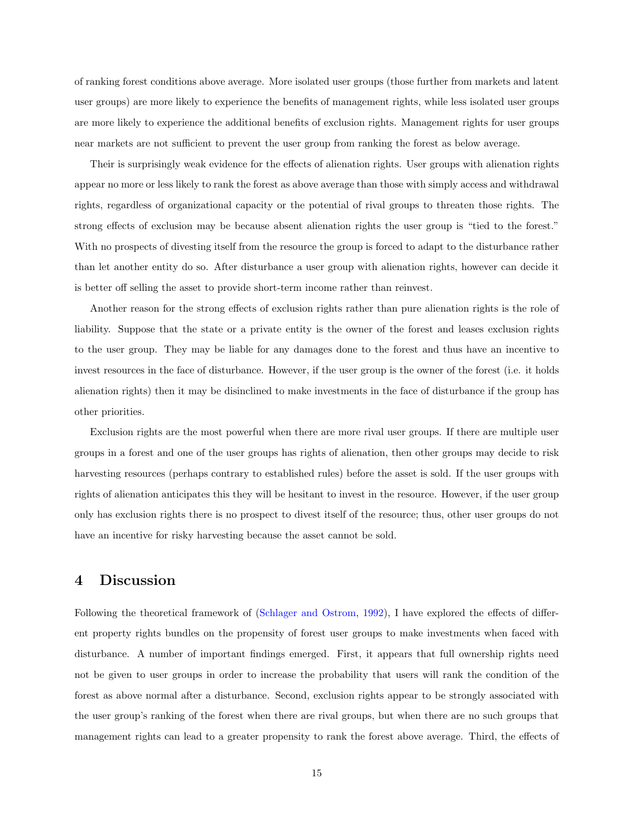of ranking forest conditions above average. More isolated user groups (those further from markets and latent user groups) are more likely to experience the benefits of management rights, while less isolated user groups are more likely to experience the additional benefits of exclusion rights. Management rights for user groups near markets are not sufficient to prevent the user group from ranking the forest as below average.

Their is surprisingly weak evidence for the effects of alienation rights. User groups with alienation rights appear no more or less likely to rank the forest as above average than those with simply access and withdrawal rights, regardless of organizational capacity or the potential of rival groups to threaten those rights. The strong effects of exclusion may be because absent alienation rights the user group is "tied to the forest." With no prospects of divesting itself from the resource the group is forced to adapt to the disturbance rather than let another entity do so. After disturbance a user group with alienation rights, however can decide it is better off selling the asset to provide short-term income rather than reinvest.

Another reason for the strong effects of exclusion rights rather than pure alienation rights is the role of liability. Suppose that the state or a private entity is the owner of the forest and leases exclusion rights to the user group. They may be liable for any damages done to the forest and thus have an incentive to invest resources in the face of disturbance. However, if the user group is the owner of the forest (i.e. it holds alienation rights) then it may be disinclined to make investments in the face of disturbance if the group has other priorities.

Exclusion rights are the most powerful when there are more rival user groups. If there are multiple user groups in a forest and one of the user groups has rights of alienation, then other groups may decide to risk harvesting resources (perhaps contrary to established rules) before the asset is sold. If the user groups with rights of alienation anticipates this they will be hesitant to invest in the resource. However, if the user group only has exclusion rights there is no prospect to divest itself of the resource; thus, other user groups do not have an incentive for risky harvesting because the asset cannot be sold.

## 4 Discussion

Following the theoretical framework of [\(Schlager and Ostrom,](#page-17-3) [1992\)](#page-17-3), I have explored the effects of different property rights bundles on the propensity of forest user groups to make investments when faced with disturbance. A number of important findings emerged. First, it appears that full ownership rights need not be given to user groups in order to increase the probability that users will rank the condition of the forest as above normal after a disturbance. Second, exclusion rights appear to be strongly associated with the user group's ranking of the forest when there are rival groups, but when there are no such groups that management rights can lead to a greater propensity to rank the forest above average. Third, the effects of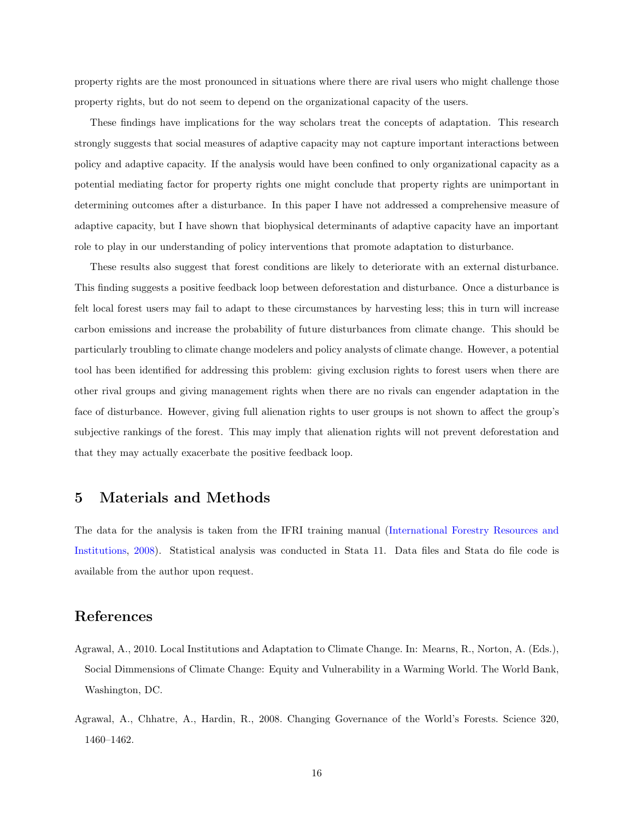property rights are the most pronounced in situations where there are rival users who might challenge those property rights, but do not seem to depend on the organizational capacity of the users.

These findings have implications for the way scholars treat the concepts of adaptation. This research strongly suggests that social measures of adaptive capacity may not capture important interactions between policy and adaptive capacity. If the analysis would have been confined to only organizational capacity as a potential mediating factor for property rights one might conclude that property rights are unimportant in determining outcomes after a disturbance. In this paper I have not addressed a comprehensive measure of adaptive capacity, but I have shown that biophysical determinants of adaptive capacity have an important role to play in our understanding of policy interventions that promote adaptation to disturbance.

These results also suggest that forest conditions are likely to deteriorate with an external disturbance. This finding suggests a positive feedback loop between deforestation and disturbance. Once a disturbance is felt local forest users may fail to adapt to these circumstances by harvesting less; this in turn will increase carbon emissions and increase the probability of future disturbances from climate change. This should be particularly troubling to climate change modelers and policy analysts of climate change. However, a potential tool has been identified for addressing this problem: giving exclusion rights to forest users when there are other rival groups and giving management rights when there are no rivals can engender adaptation in the face of disturbance. However, giving full alienation rights to user groups is not shown to affect the group's subjective rankings of the forest. This may imply that alienation rights will not prevent deforestation and that they may actually exacerbate the positive feedback loop.

### <span id="page-15-2"></span>5 Materials and Methods

The data for the analysis is taken from the IFRI training manual [\(International Forestry Resources and](#page-16-7) [Institutions,](#page-16-7) [2008\)](#page-16-7). Statistical analysis was conducted in Stata 11. Data files and Stata do file code is available from the author upon request.

## References

- <span id="page-15-1"></span>Agrawal, A., 2010. Local Institutions and Adaptation to Climate Change. In: Mearns, R., Norton, A. (Eds.), Social Dimmensions of Climate Change: Equity and Vulnerability in a Warming World. The World Bank, Washington, DC.
- <span id="page-15-0"></span>Agrawal, A., Chhatre, A., Hardin, R., 2008. Changing Governance of the World's Forests. Science 320, 1460–1462.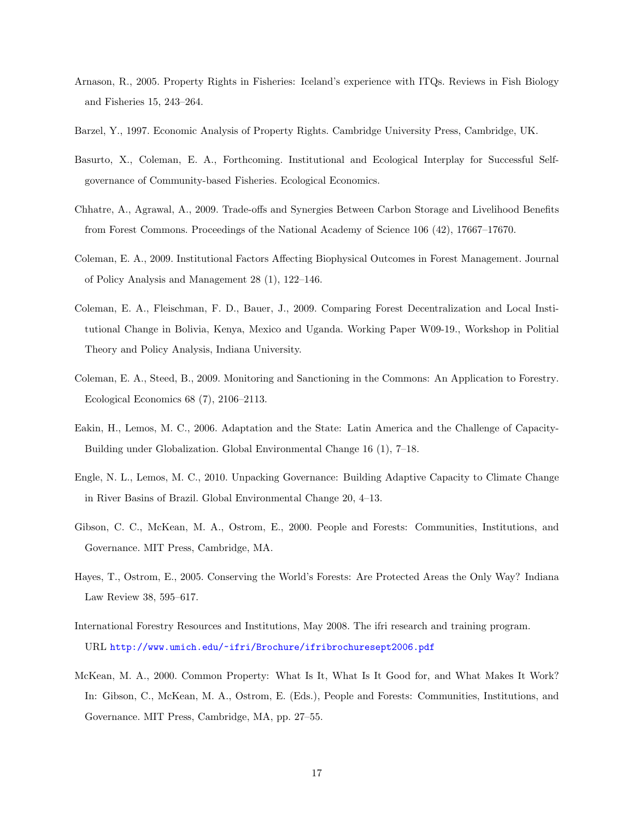- <span id="page-16-9"></span>Arnason, R., 2005. Property Rights in Fisheries: Iceland's experience with ITQs. Reviews in Fish Biology and Fisheries 15, 243–264.
- <span id="page-16-2"></span>Barzel, Y., 1997. Economic Analysis of Property Rights. Cambridge University Press, Cambridge, UK.
- <span id="page-16-1"></span>Basurto, X., Coleman, E. A., Forthcoming. Institutional and Ecological Interplay for Successful Selfgovernance of Community-based Fisheries. Ecological Economics.
- <span id="page-16-0"></span>Chhatre, A., Agrawal, A., 2009. Trade-offs and Synergies Between Carbon Storage and Livelihood Benefits from Forest Commons. Proceedings of the National Academy of Science 106 (42), 17667–17670.
- <span id="page-16-5"></span>Coleman, E. A., 2009. Institutional Factors Affecting Biophysical Outcomes in Forest Management. Journal of Policy Analysis and Management 28 (1), 122–146.
- <span id="page-16-8"></span>Coleman, E. A., Fleischman, F. D., Bauer, J., 2009. Comparing Forest Decentralization and Local Institutional Change in Bolivia, Kenya, Mexico and Uganda. Working Paper W09-19., Workshop in Politial Theory and Policy Analysis, Indiana University.
- <span id="page-16-4"></span>Coleman, E. A., Steed, B., 2009. Monitoring and Sanctioning in the Commons: An Application to Forestry. Ecological Economics 68 (7), 2106–2113.
- <span id="page-16-10"></span>Eakin, H., Lemos, M. C., 2006. Adaptation and the State: Latin America and the Challenge of Capacity-Building under Globalization. Global Environmental Change 16 (1), 7–18.
- <span id="page-16-11"></span>Engle, N. L., Lemos, M. C., 2010. Unpacking Governance: Building Adaptive Capacity to Climate Change in River Basins of Brazil. Global Environmental Change 20, 4–13.
- <span id="page-16-12"></span>Gibson, C. C., McKean, M. A., Ostrom, E., 2000. People and Forests: Communities, Institutions, and Governance. MIT Press, Cambridge, MA.
- <span id="page-16-6"></span>Hayes, T., Ostrom, E., 2005. Conserving the World's Forests: Are Protected Areas the Only Way? Indiana Law Review 38, 595–617.
- <span id="page-16-7"></span>International Forestry Resources and Institutions, May 2008. The ifri research and training program. URL <http://www.umich.edu/~ifri/Brochure/ifribrochuresept2006.pdf>
- <span id="page-16-3"></span>McKean, M. A., 2000. Common Property: What Is It, What Is It Good for, and What Makes It Work? In: Gibson, C., McKean, M. A., Ostrom, E. (Eds.), People and Forests: Communities, Institutions, and Governance. MIT Press, Cambridge, MA, pp. 27–55.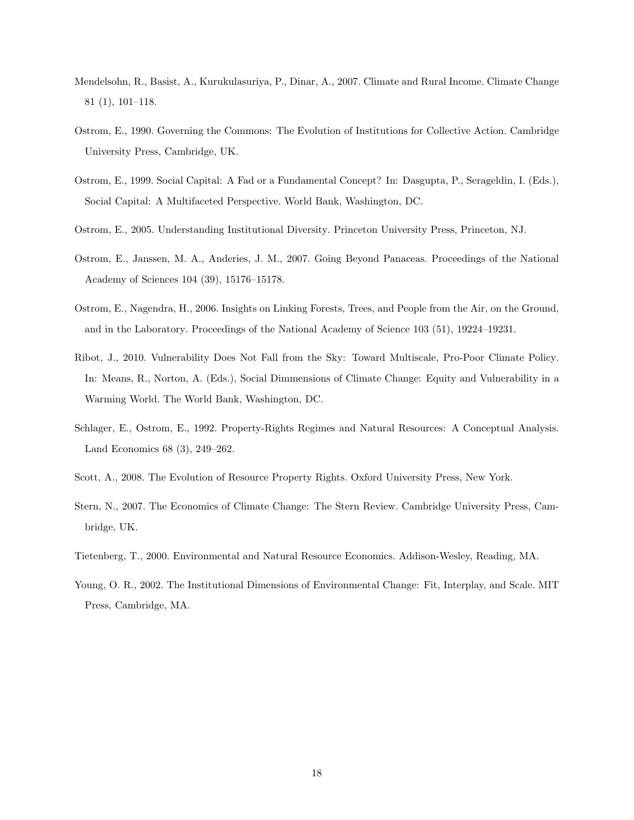- <span id="page-17-0"></span>Mendelsohn, R., Basist, A., Kurukulasuriya, P., Dinar, A., 2007. Climate and Rural Income. Climate Change 81 (1), 101–118.
- <span id="page-17-1"></span>Ostrom, E., 1990. Governing the Commons: The Evolution of Institutions for Collective Action. Cambridge University Press, Cambridge, UK.
- <span id="page-17-11"></span>Ostrom, E., 1999. Social Capital: A Fad or a Fundamental Concept? In: Dasgupta, P., Serageldin, I. (Eds.), Social Capital: A Multifaceted Perspective. World Bank, Washington, DC.
- <span id="page-17-10"></span>Ostrom, E., 2005. Understanding Institutional Diversity. Princeton University Press, Princeton, NJ.
- <span id="page-17-4"></span>Ostrom, E., Janssen, M. A., Anderies, J. M., 2007. Going Beyond Panaceas. Proceedings of the National Academy of Sciences 104 (39), 15176–15178.
- <span id="page-17-5"></span>Ostrom, E., Nagendra, H., 2006. Insights on Linking Forests, Trees, and People from the Air, on the Ground, and in the Laboratory. Proceedings of the National Academy of Science 103 (51), 19224–19231.
- <span id="page-17-9"></span>Ribot, J., 2010. Vulnerability Does Not Fall from the Sky: Toward Multiscale, Pro-Poor Climate Policy. In: Means, R., Norton, A. (Eds.), Social Dimmensions of Climate Change: Equity and Vulnerability in a Warming World. The World Bank, Washington, DC.
- <span id="page-17-3"></span>Schlager, E., Ostrom, E., 1992. Property-Rights Regimes and Natural Resources: A Conceptual Analysis. Land Economics 68 (3), 249–262.
- <span id="page-17-7"></span>Scott, A., 2008. The Evolution of Resource Property Rights. Oxford University Press, New York.
- <span id="page-17-8"></span>Stern, N., 2007. The Economics of Climate Change: The Stern Review. Cambridge University Press, Cambridge, UK.
- <span id="page-17-6"></span>Tietenberg, T., 2000. Environmental and Natural Resource Economics. Addison-Wesley, Reading, MA.
- <span id="page-17-2"></span>Young, O. R., 2002. The Institutional Dimensions of Environmental Change: Fit, Interplay, and Scale. MIT Press, Cambridge, MA.